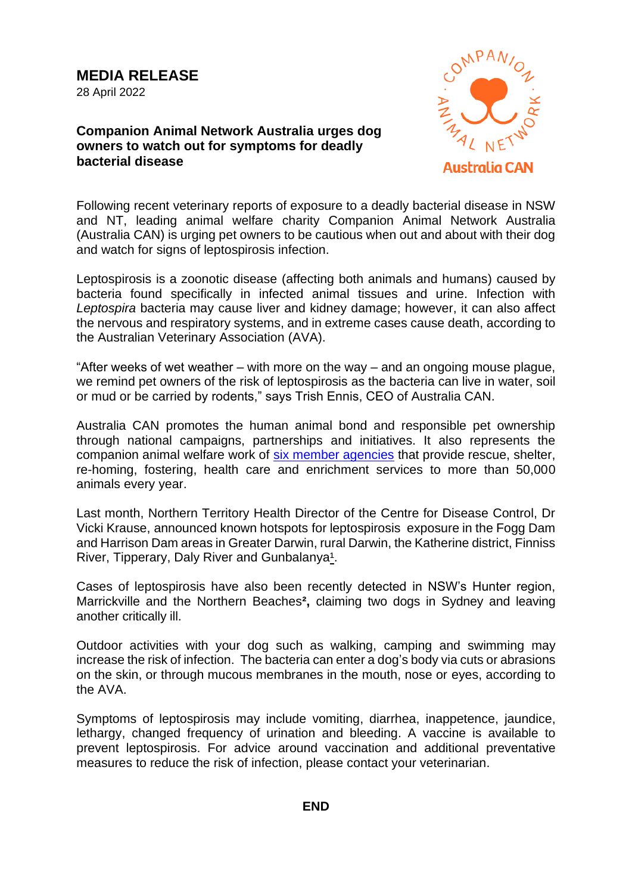## **Companion Animal Network Australia urges dog owners to watch out for symptoms for deadly bacterial disease**



Following recent veterinary reports of exposure to a deadly bacterial disease in NSW and NT, leading animal welfare charity Companion Animal Network Australia (Australia CAN) is urging pet owners to be cautious when out and about with their dog and watch for signs of leptospirosis infection.

Leptospirosis is a zoonotic disease (affecting both animals and humans) caused by bacteria found specifically in infected animal tissues and urine. Infection with *Leptospira* bacteria may cause liver and kidney damage; however, it can also affect the nervous and respiratory systems, and in extreme cases cause death, according to the Australian Veterinary Association (AVA).

"After weeks of wet weather – with more on the way – and an ongoing mouse plague, we remind pet owners of the risk of leptospirosis as the bacteria can live in water, soil or mud or be carried by rodents," says Trish Ennis, CEO of Australia CAN.

Australia CAN promotes the human animal bond and responsible pet ownership through national campaigns, partnerships and initiatives. It also represents the companion animal welfare work of [six member agencies](https://australiacan.org.au/who-we-are/) that provide rescue, shelter, re-homing, fostering, health care and enrichment services to more than 50,000 animals every year.

Last month, Northern Territory Health Director of the Centre for Disease Control, Dr Vicki Krause, announced known hotspots for leptospirosis exposure in the Fogg Dam and Harrison Dam areas in Greater Darwin, rural Darwin, the Katherine district, Finniss River, Tipperary, Daly River and Gunbalanya<sup>1</sup>.

Cases of leptospirosis have also been recently detected in NSW's Hunter region, Marrickville and the Northern Beaches**[²,](https://sydneyanimalhospitals.com.au/leptospirosis-alert/)** claiming two dogs in Sydney and leaving another critically ill.

Outdoor activities with your dog such as walking, camping and swimming may increase the risk of infection. The bacteria can enter a dog's body via cuts or abrasions on the skin, or through mucous membranes in the mouth, nose or eyes, according to the AVA.

Symptoms of leptospirosis may include vomiting, diarrhea, inappetence, jaundice, lethargy, changed frequency of urination and bleeding. A vaccine is available to prevent leptospirosis. For advice around vaccination and additional preventative measures to reduce the risk of infection, please contact your veterinarian.